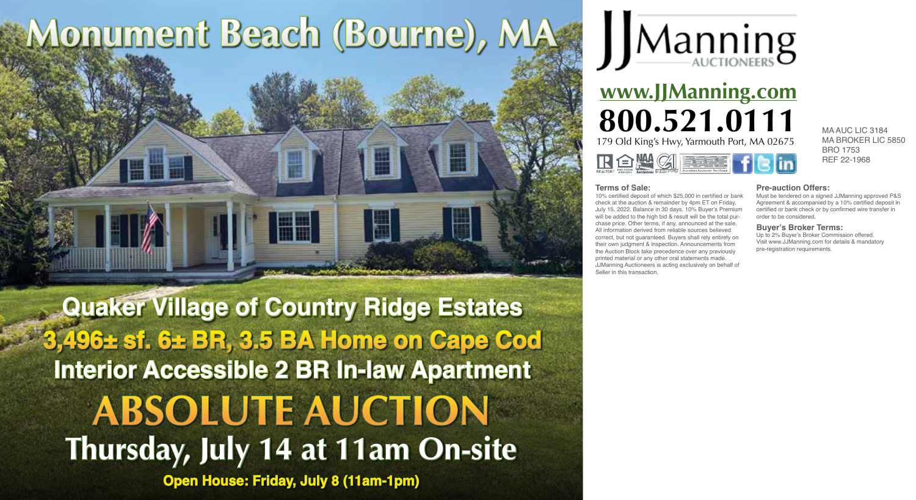## **Monument Beach (Bourne), MA**

**Thursday, July 14 at 11am On-site Open House: Friday, July 8 (11am-1pm) Quaker Village of Country Ridge Estates 3,496± sf. 6± BR, 3.5 BA Home on Cape Cod Interior Accessible 2 BR In-law Apartment ABSOLUTE AUCTION**



## **www.JJManning.com 800.521.0111** MAAUC LIC 3184 179 Old King's Hwy, Yarmouth Port, MA 02675 R 白煙 (3) 医主要

MA BROKER LIC 5850 BRO 1753 REF 22-1968

## **Terms of Sale:**

10% certified deposit of which \$25,000 in certified or bank check at the auction & remainder by 4pm ET on Friday, July 15, 2022. Balance in 30 days. 10% Buyer's Premium will be added to the high bid & result will be the total purchase price. Other terms, if any, announced at the sale. All information derived from reliable sources believed correct, but not guaranteed. Buyers shall rely entirely on their own judgment & inspection. Announcements from the Auction Block take precedence over any previously printed material or any other oral statements made. JJManning Auctioneers is acting exclusively on behalf of Seller in this transaction.

**Pre-auction Offers:** Must be tendered on a signed JJManning approved P&S

Agreement & accompanied by a 10% certified deposit in certified or bank check or by confirmed wire transfer in order to be considered.

## **Buyer's Broker Terms:**

Up to 2% Buyer's Broker Commission offered. Visit www.JJManning.com for details & mandatory pre-registration requirements.